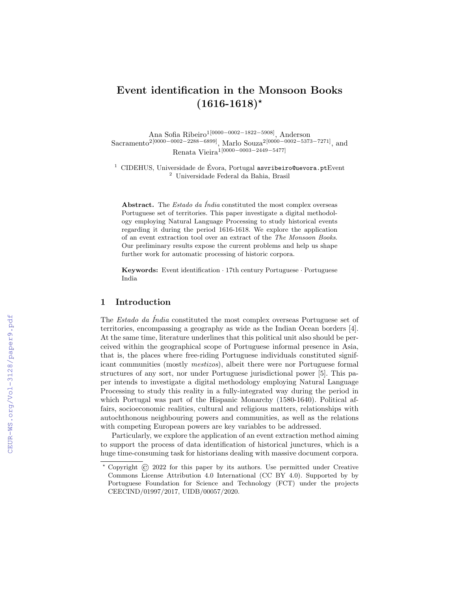# Event identification in the Monsoon Books  $(1616-1618)^*$

Ana Sofia Ribeiro1[0000−0002−1822−5908], Anderson Sacramento2[0000−0002−2288−6899], Marlo Souza2[0000−0002−5373−7271], and Renata Vieira1[0000−0003−2449−5477]

 $1$  CIDEHUS, Universidade de Évora, Portugal asvribeiro@uevora.ptEvent <sup>2</sup> Universidade Federal da Bahia, Brasil

Abstract. The *Estado da Índia* constituted the most complex overseas Portuguese set of territories. This paper investigate a digital methodology employing Natural Language Processing to study historical events regarding it during the period 1616-1618. We explore the application of an event extraction tool over an extract of the The Monsoon Books. Our preliminary results expose the current problems and help us shape further work for automatic processing of historic corpora.

Keywords: Event identification · 17th century Portuguese · Portuguese India

#### 1 Introduction

The Estado da Índia constituted the most complex overseas Portuguese set of territories, encompassing a geography as wide as the Indian Ocean borders [4]. At the same time, literature underlines that this political unit also should be perceived within the geographical scope of Portuguese informal presence in Asia, that is, the places where free-riding Portuguese individuals constituted significant communities (mostly mestizos), albeit there were nor Portuguese formal structures of any sort, nor under Portuguese jurisdictional power [5]. This paper intends to investigate a digital methodology employing Natural Language Processing to study this reality in a fully-integrated way during the period in which Portugal was part of the Hispanic Monarchy (1580-1640). Political affairs, socioeconomic realities, cultural and religious matters, relationships with autochthonous neighbouring powers and communities, as well as the relations with competing European powers are key variables to be addressed.

Particularly, we explore the application of an event extraction method aiming to support the process of data identification of historical junctures, which is a huge time-consuming task for historians dealing with massive document corpora.

<sup>⋆</sup> Copyright © 2022 for this paper by its authors. Use permitted under Creative Commons License Attribution 4.0 International (CC BY 4.0). Supported by by Portuguese Foundation for Science and Technology (FCT) under the projects CEECIND/01997/2017, UIDB/00057/2020.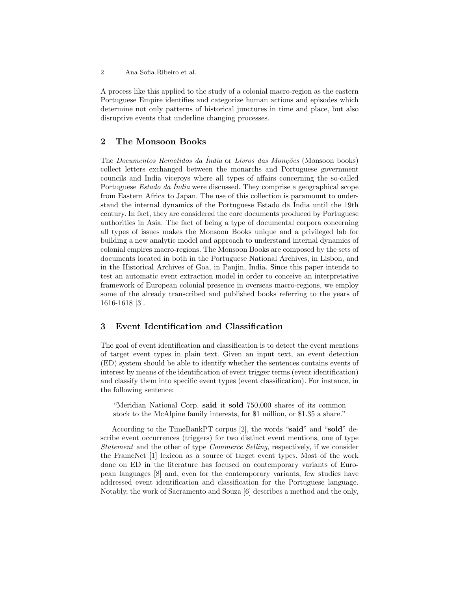2 Ana Sofia Ribeiro et al.

A process like this applied to the study of a colonial macro-region as the eastern Portuguese Empire identifies and categorize human actions and episodes which determine not only patterns of historical junctures in time and place, but also disruptive events that underline changing processes.

# 2 The Monsoon Books

The Documentos Remetidos da Índia or Livros das Monções (Monsoon books) collect letters exchanged between the monarchs and Portuguese government councils and India viceroys where all types of affairs concerning the so-called Portuguese *Estado da Índia* were discussed. They comprise a geographical scope from Eastern Africa to Japan. The use of this collection is paramount to understand the internal dynamics of the Portuguese Estado da Índia until the 19th century. In fact, they are considered the core documents produced by Portuguese authorities in Asia. The fact of being a type of documental corpora concerning all types of issues makes the Monsoon Books unique and a privileged lab for building a new analytic model and approach to understand internal dynamics of colonial empires macro-regions. The Monsoon Books are composed by the sets of documents located in both in the Portuguese National Archives, in Lisbon, and in the Historical Archives of Goa, in Panjin, India. Since this paper intends to test an automatic event extraction model in order to conceive an interpretative framework of European colonial presence in overseas macro-regions, we employ some of the already transcribed and published books referring to the years of 1616-1618 [3].

## 3 Event Identification and Classification

The goal of event identification and classification is to detect the event mentions of target event types in plain text. Given an input text, an event detection (ED) system should be able to identify whether the sentences contains events of interest by means of the identification of event trigger terms (event identification) and classify them into specific event types (event classification). For instance, in the following sentence:

"Meridian National Corp. said it sold 750,000 shares of its common stock to the McAlpine family interests, for \$1 million, or \$1.35 a share."

According to the TimeBankPT corpus [2], the words "said" and "sold" describe event occurrences (triggers) for two distinct event mentions, one of type Statement and the other of type Commerce Selling, respectively, if we consider the FrameNet [1] lexicon as a source of target event types. Most of the work done on ED in the literature has focused on contemporary variants of European languages [8] and, even for the contemporary variants, few studies have addressed event identification and classification for the Portuguese language. Notably, the work of Sacramento and Souza [6] describes a method and the only,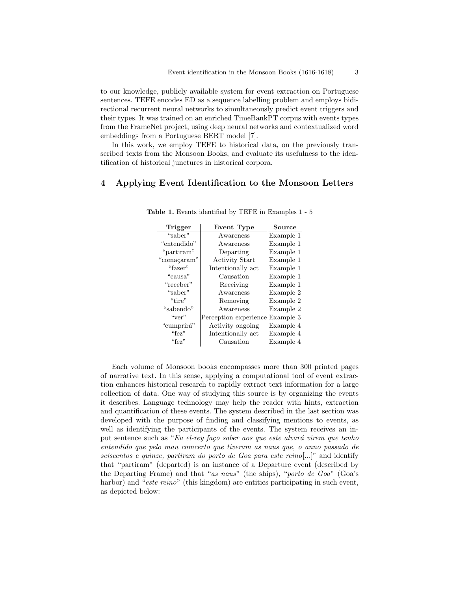to our knowledge, publicly available system for event extraction on Portuguese sentences. TEFE encodes ED as a sequence labelling problem and employs bidirectional recurrent neural networks to simultaneously predict event triggers and their types. It was trained on an enriched TimeBankPT corpus with events types from the FrameNet project, using deep neural networks and contextualized word embeddings from a Portuguese BERT model [7].

In this work, we employ TEFE to historical data, on the previously transcribed texts from the Monsoon Books, and evaluate its usefulness to the identification of historical junctures in historical corpora.

#### 4 Applying Event Identification to the Monsoon Letters

| Trigger<br>Event Type |                       | Source    |  |
|-----------------------|-----------------------|-----------|--|
| "saber"               | Awareness             | Example 1 |  |
| "entendido"           | Awareness             | Example 1 |  |
| "partiram"            | Departing             | Example 1 |  |
| "comaçaram"           | <b>Activity Start</b> | Example 1 |  |
| "fazer"               | Intentionally act     | Example 1 |  |
| "causa"               | Causation             | Example 1 |  |
| "receber"             | Receiving             | Example 1 |  |
| "saber"               | Awareness             | Example 2 |  |
| "tire"                | Removing              | Example 2 |  |
| "sabendo"             | Awareness             | Example 2 |  |
| ``ver"                | Perception experience | Example 3 |  |
| "cumprirá"            | Activity ongoing      | Example 4 |  |
| "fez"                 | Intentionally act     | Example 4 |  |
| "fez"                 | Causation             | Example 4 |  |

Table 1. Events identified by TEFE in Examples 1 - 5

Each volume of Monsoon books encompasses more than 300 printed pages of narrative text. In this sense, applying a computational tool of event extraction enhances historical research to rapidly extract text information for a large collection of data. One way of studying this source is by organizing the events it describes. Language technology may help the reader with hints, extraction and quantification of these events. The system described in the last section was developed with the purpose of finding and classifying mentions to events, as well as identifying the participants of the events. The system receives an input sentence such as "Eu el-rey faço saber aos que este alvará virem que tenho entendido que pelo mau comcerto que tiveram as naus que, o anno passado de seiscentos e quinze, partiram do porto de Goa para este reino[...]" and identify that "partiram" (departed) is an instance of a Departure event (described by the Departing Frame) and that "as naus" (the ships), "porto de Goa" (Goa's harbor) and "este reino" (this kingdom) are entities participating in such event, as depicted below: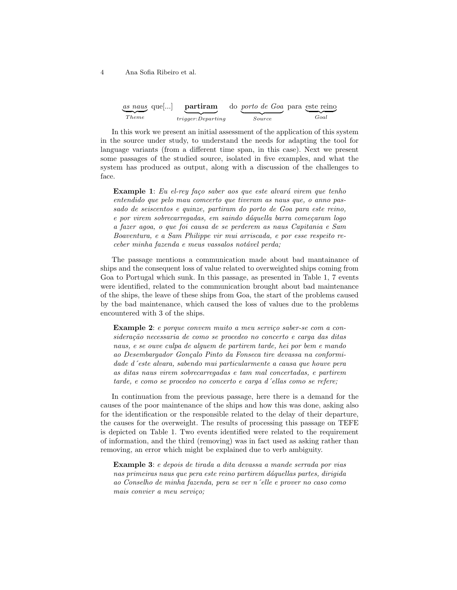4 Ana Sofia Ribeiro et al.

| $\underbrace{as\;naus}_{\sim}$ que $\left[\ldots\right]$ | partiram                 | do <i>porto de Goa</i> para este reino |      |
|----------------------------------------------------------|--------------------------|----------------------------------------|------|
|                                                          |                          |                                        |      |
| <i>Theme</i>                                             | <i>trigger:Departing</i> | Source                                 | Goal |

In this work we present an initial assessment of the application of this system in the source under study, to understand the needs for adapting the tool for language variants (from a different time span, in this case). Next we present some passages of the studied source, isolated in five examples, and what the system has produced as output, along with a discussion of the challenges to face.

**Example 1**: Eu el-rey faço saber aos que este alvará virem que tenho entendido que pelo mau comcerto que tiveram as naus que, o anno passado de seiscentos e quinze, partiram do porto de Goa para este reino, e por virem sobrecarregadas, em saindo dáquella barra começaram logo a fazer agoa, o que foi causa de se perderem as naus Capitania e Sam Boaventura, e a Sam Philippe vir mui arriscada, e por esse respeito re $ceber \ minha \ fazenda \ e \ meus \ vassalos \ not\'avel \ perda;$ 

The passage mentions a communication made about bad mantainance of ships and the consequent loss of value related to overweighted ships coming from Goa to Portugal which sunk. In this passage, as presented in Table 1, 7 events were identified, related to the communication brought about bad maintenance of the ships, the leave of these ships from Goa, the start of the problems caused by the bad maintenance, which caused the loss of values due to the problems encountered with 3 of the ships.

Example 2: e porque convem muito a meu serviço saber-se com a consideração necessaria de como se procedeo no concerto e carga das ditas naus, e se ouve culpa de alguem de partirem tarde, hei por bem e mando ao Desembargador Gonçalo Pinto da Fonseca tire devassa na conformidade d´este alvara, sabendo mui particularmente a causa que houve pera as ditas naus virem sobrecarregadas e tam mal concertadas, e partirem tarde, e como se procedeo no concerto e carga d´ellas como se refere;

In continuation from the previous passage, here there is a demand for the causes of the poor maintenance of the ships and how this was done, asking also for the identification or the responsible related to the delay of their departure, the causes for the overweight. The results of processing this passage on TEFE is depicted on Table 1. Two events identified were related to the requirement of information, and the third (removing) was in fact used as asking rather than removing, an error which might be explained due to verb ambiguity.

Example 3: e depois de tirada a dita devassa a mande serrada por vias nas primeiras naus que pera este reino partirem d´aquellas partes, dirigida ao Conselho de minha fazenda, pera se ver n´elle e prover no caso como mais convier a meu serviço;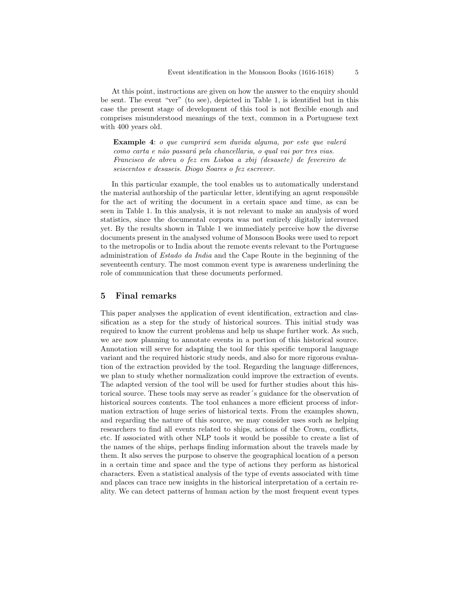At this point, instructions are given on how the answer to the enquiry should be sent. The event "ver" (to see), depicted in Table 1, is identified but in this case the present stage of development of this tool is not flexible enough and comprises misunderstood meanings of the text, common in a Portuguese text with 400 years old.

Example 4: o que cumprirá sem duvida alguma, por este que valerá como carta e não passará pela chancellaria, o qual vai por tres vias. Francisco de abreu o fez em Lisboa a xbij (desasete) de fevereiro de seiscentos e desaseis. Diogo Soares o fez escrever.

In this particular example, the tool enables us to automatically understand the material authorship of the particular letter, identifying an agent responsible for the act of writing the document in a certain space and time, as can be seen in Table 1. In this analysis, it is not relevant to make an analysis of word statistics, since the documental corpora was not entirely digitally intervened yet. By the results shown in Table 1 we immediately perceive how the diverse documents present in the analysed volume of Monsoon Books were used to report to the metropolis or to India about the remote events relevant to the Portuguese administration of Estado da India and the Cape Route in the beginning of the seventeenth century. The most common event type is awareness underlining the role of communication that these documents performed.

#### 5 Final remarks

This paper analyses the application of event identification, extraction and classification as a step for the study of historical sources. This initial study was required to know the current problems and help us shape further work. As such, we are now planning to annotate events in a portion of this historical source. Annotation will serve for adapting the tool for this specific temporal language variant and the required historic study needs, and also for more rigorous evaluation of the extraction provided by the tool. Regarding the language differences, we plan to study whether normalization could improve the extraction of events. The adapted version of the tool will be used for further studies about this historical source. These tools may serve as reader´s guidance for the observation of historical sources contents. The tool enhances a more efficient process of information extraction of huge series of historical texts. From the examples shown, and regarding the nature of this source, we may consider uses such as helping researchers to find all events related to ships, actions of the Crown, conflicts, etc. If associated with other NLP tools it would be possible to create a list of the names of the ships, perhaps finding information about the travels made by them. It also serves the purpose to observe the geographical location of a person in a certain time and space and the type of actions they perform as historical characters. Even a statistical analysis of the type of events associated with time and places can trace new insights in the historical interpretation of a certain reality. We can detect patterns of human action by the most frequent event types